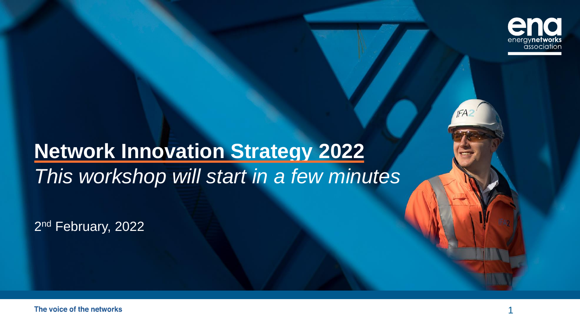

# **Network Innovation Strategy 2022** *This workshop will start in a few minutes*

2<sup>nd</sup> February, 2022

**IFA**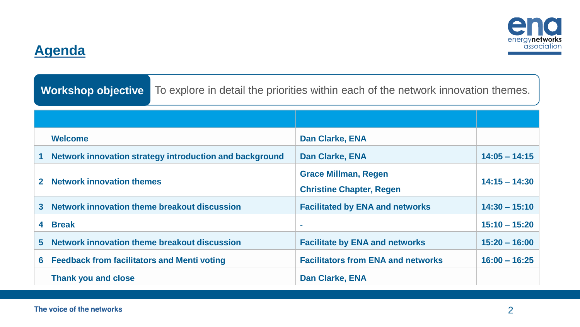

### **Agenda**

**Workshop objective** To explore in detail the priorities within each of the network innovation themes.

|                | <b>Welcome</b>                                          | <b>Dan Clarke, ENA</b>                                         |                 |
|----------------|---------------------------------------------------------|----------------------------------------------------------------|-----------------|
|                | Network innovation strategy introduction and background | <b>Dan Clarke, ENA</b>                                         | $14:05 - 14:15$ |
| $\mathbf{2}$   | <b>Network innovation themes</b>                        | <b>Grace Millman, Regen</b><br><b>Christine Chapter, Regen</b> | $14:15 - 14:30$ |
| 3 <sup>1</sup> | Network innovation theme breakout discussion            | <b>Facilitated by ENA and networks</b>                         | $14:30 - 15:10$ |
| 4              | <b>Break</b>                                            | <b>COL</b>                                                     | $15:10 - 15:20$ |
| 5 <sup>1</sup> | Network innovation theme breakout discussion            | <b>Facilitate by ENA and networks</b>                          | $15:20 - 16:00$ |
| 6 <sup>1</sup> | <b>Feedback from facilitators and Menti voting</b>      | <b>Facilitators from ENA and networks</b>                      | $16:00 - 16:25$ |
|                | <b>Thank you and close</b>                              | <b>Dan Clarke, ENA</b>                                         |                 |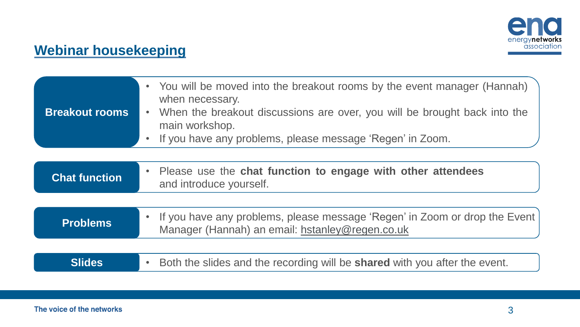

### **Webinar housekeeping**

| <b>Breakout rooms</b> | • You will be moved into the breakout rooms by the event manager (Hannah)<br>when necessary.<br>When the breakout discussions are over, you will be brought back into the<br>$\bullet$<br>main workshop.<br>If you have any problems, please message 'Regen' in Zoom.<br>$\bullet$ |
|-----------------------|------------------------------------------------------------------------------------------------------------------------------------------------------------------------------------------------------------------------------------------------------------------------------------|
|                       |                                                                                                                                                                                                                                                                                    |
| <b>Chat function</b>  | Please use the chat function to engage with other attendees<br>$\bullet$<br>and introduce yourself.                                                                                                                                                                                |
|                       |                                                                                                                                                                                                                                                                                    |
| <b>Problems</b>       | If you have any problems, please message 'Regen' in Zoom or drop the Event<br>$\bullet$<br>Manager (Hannah) an email: hstanley@regen.co.uk                                                                                                                                         |
|                       |                                                                                                                                                                                                                                                                                    |
| <b>Slides</b>         | Both the slides and the recording will be shared with you after the event.<br>$\bullet$                                                                                                                                                                                            |
|                       |                                                                                                                                                                                                                                                                                    |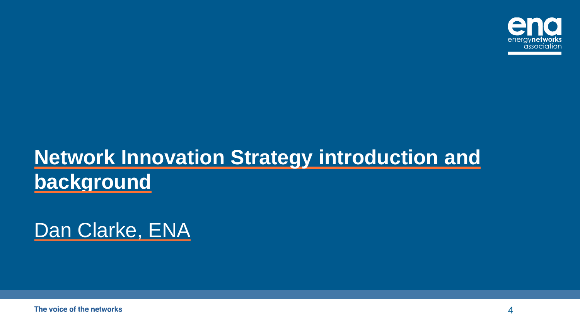

# **Network Innovation Strategy introduction and background**

Dan Clarke, ENA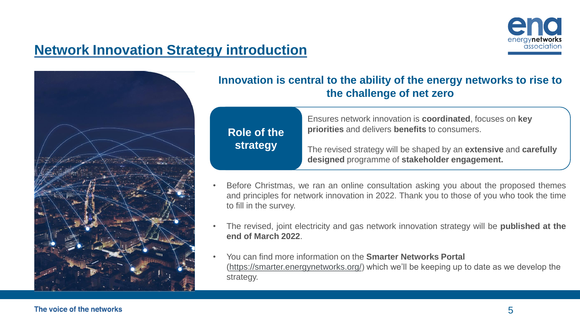

### **Network Innovation Strategy introduction**



#### **Innovation is central to the ability of the energy networks to rise to the challenge of net zero**

| Role of the | Ensures network innovation is <b>coordinated</b> , focuses on <b>key</b><br>priorities and delivers benefits to consumers. |  |
|-------------|----------------------------------------------------------------------------------------------------------------------------|--|
| strategy    | The revised strategy will be shaped by an extensive and carefully<br>designed programme of stakeholder engagement.         |  |

- Before Christmas, we ran an online consultation asking you about the proposed themes and principles for network innovation in 2022. Thank you to those of you who took the time to fill in the survey.
- The revised, joint electricity and gas network innovation strategy will be **published at the end of March 2022**.
- You can find more information on the **Smarter Networks Portal**  ([https://smarter.energynetworks.org/\)](https://smarter.energynetworks.org/) which we'll be keeping up to date as we develop the strategy.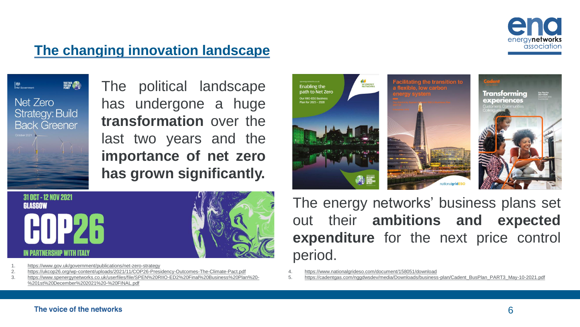

### **The changing innovation landscape**

**後** TOGETHER<br>FOR QUA<br>PLANET Net Zero **Strategy: Build Back Greener** 

The political landscape has undergone a huge **transformation** over the last two years and the **importance of net zero has grown significantly.**



the transition to nationalgridESO



## 31 OCT - 12 NOV 2021 GLASGOW I PARTNERSHIP WITH ITALY



1. <https://www.gov.uk/government/publications/net-zero-strategy>

- 2. <https://ukcop26.org/wp-content/uploads/2021/11/COP26-Presidency-Outcomes-The-Climate-Pact.pdf>
- 3. [https://www.spenergynetworks.co.uk/userfiles/file/SPEN%20RIIO-ED2%20Final%20Business%20Plan%20-](https://www.spenergynetworks.co.uk/userfiles/file/SPEN RIIO-ED2 Final Business Plan  1st December 2021  FINAL.pdf) %201st%20December%202021%20-%20FINAL.pdf

The energy networks' business plans set out their **ambitions and expected expenditure** for the next price control period.

- 4. <https://www.nationalgrideso.com/document/158051/download>
- 5. [https://cadentgas.com/nggdwsdev/media/Downloads/business-plan/Cadent\\_BusPlan\\_PART3\\_May-10-2021.pdf](https://cadentgas.com/nggdwsdev/media/Downloads/business-plan/Cadent_BusPlan_PART3_May-10-2021.pdf)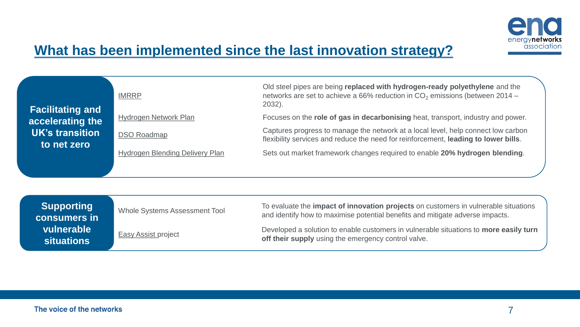

### **What has been implemented since the last innovation strategy?**

| <b>Facilitating and</b>        | <b>IMRRP</b>                           | Old steel pipes are being replaced with hydrogen-ready polyethylene and the<br>networks are set to achieve a 66% reduction in CO <sub>2</sub> emissions (between 2014 –<br>2032). |
|--------------------------------|----------------------------------------|-----------------------------------------------------------------------------------------------------------------------------------------------------------------------------------|
| accelerating the               | Hydrogen Network Plan                  | Focuses on the role of gas in decarbonising heat, transport, industry and power.                                                                                                  |
| UK's transition<br>to net zero | <b>DSO Roadmap</b>                     | Captures progress to manage the network at a local level, help connect low carbon<br>flexibility services and reduce the need for reinforcement, leading to lower bills.          |
|                                | <b>Hydrogen Blending Delivery Plan</b> | Sets out market framework changes required to enable 20% hydrogen blending.                                                                                                       |
|                                |                                        |                                                                                                                                                                                   |

| <b>Supporting</b><br>consumers in | Whole Systems Assessment Tool | To evaluate the <b>impact of innovation projects</b> on customers in vulnerable situations<br>and identify how to maximise potential benefits and mitigate adverse impacts. |
|-----------------------------------|-------------------------------|-----------------------------------------------------------------------------------------------------------------------------------------------------------------------------|
| vulnerable<br><b>situations</b>   | <b>Easy Assist project</b>    | Developed a solution to enable customers in vulnerable situations to more easily turn<br>off their supply using the emergency control valve.                                |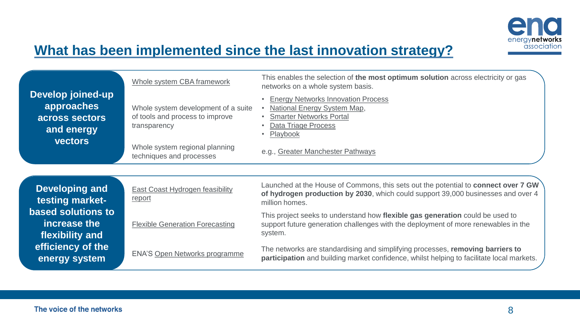

### **What has been implemented since the last innovation strategy?**

| Develop joined-up<br>approaches<br>across sectors<br>and energy<br><b>vectors</b> | Whole system CBA framework<br>Whole system development of a suite<br>of tools and process to improve<br>transparency<br>Whole system regional planning<br>techniques and processes | This enables the selection of the most optimum solution across electricity or gas<br>networks on a whole system basis.<br><b>Energy Networks Innovation Process</b><br>National Energy System Map,<br><b>Smarter Networks Portal</b><br>Data Triage Process<br>Playbook<br>e.g., Greater Manchester Pathways |
|-----------------------------------------------------------------------------------|------------------------------------------------------------------------------------------------------------------------------------------------------------------------------------|--------------------------------------------------------------------------------------------------------------------------------------------------------------------------------------------------------------------------------------------------------------------------------------------------------------|
| <b>Developing and</b><br>testing market-                                          | East Coast Hydrogen feasibility<br>report                                                                                                                                          | Launched at the House of Commons, this sets out the potential to connect over 7 GW<br>of hydrogen production by 2030, which could support 39,000 businesses and over 4<br>million homes.                                                                                                                     |
| based solutions to<br>increase the<br>flexibility and                             | <b>Flexible Generation Forecasting</b>                                                                                                                                             | This project seeks to understand how flexible gas generation could be used to<br>support future generation challenges with the deployment of more renewables in the<br>system.                                                                                                                               |
| efficiency of the<br>.                                                            | <b>ENA'S Open Networks programme</b>                                                                                                                                               | The networks are standardising and simplifying processes, removing barriers to<br>i da to to dato de la 1900 en 1900, la de la 1900 en 1900 en 1900 en 1900 en 1900 a 1900 a 1900 en 1900 en 190                                                                                                             |

The networks are standardising and simplifying processes, **removing barriers to participation** and building market confidence, whilst helping to facilitate local markets.

**energy system**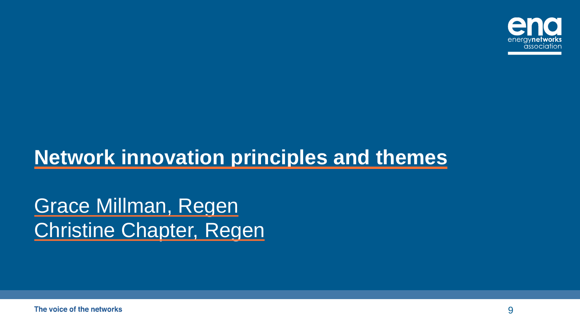

# **Network innovation principles and themes**

Grace Millman, Regen Christine Chapter, Regen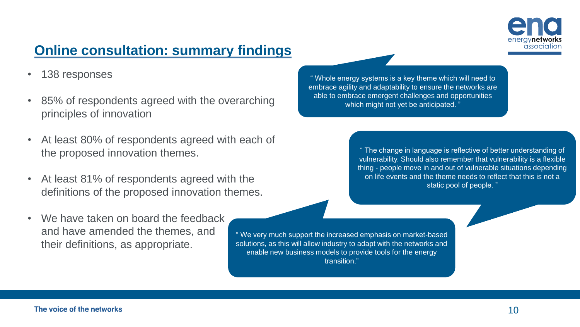

### **Online consultation: summary findings**

- 138 responses
- 85% of respondents agreed with the overarching principles of innovation
- At least 80% of respondents agreed with each of the proposed innovation themes.
- At least 81% of respondents agreed with the definitions of the proposed innovation themes.
- We have taken on board the feedback and have amended the themes, and their definitions, as appropriate.

" Whole energy systems is a key theme which will need to embrace agility and adaptability to ensure the networks are able to embrace emergent challenges and opportunities which might not yet be anticipated.

> " The change in language is reflective of better understanding of vulnerability. Should also remember that vulnerability is a flexible thing - people move in and out of vulnerable situations depending on life events and the theme needs to reflect that this is not a static pool of people. "

" We very much support the increased emphasis on market-based solutions, as this will allow industry to adapt with the networks and enable new business models to provide tools for the energy transition."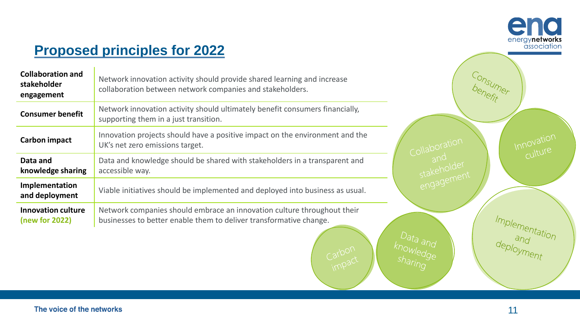

Innovation

Consumer

Collaboration<br>and<br>stakeholder<br>engagement

Carbon<br>impact

### **Proposed principles for 2022**

| <b>Collaboration and</b><br>stakeholder<br>engagement | Network innovation activity should provide shared learning and increase<br>collaboration between network companies and stakeholders.          |
|-------------------------------------------------------|-----------------------------------------------------------------------------------------------------------------------------------------------|
| <b>Consumer benefit</b>                               | Network innovation activity should ultimately benefit consumers financially,<br>supporting them in a just transition.                         |
| <b>Carbon impact</b>                                  | Innovation projects should have a positive impact on the environment and the<br>UK's net zero emissions target.                               |
| Data and<br>knowledge sharing                         | Data and knowledge should be shared with stakeholders in a transparent and<br>accessible way.                                                 |
| Implementation<br>and deployment                      | Viable initiatives should be implemented and deployed into business as usual.                                                                 |
| <b>Innovation culture</b><br>(new for 2022)           | Network companies should embrace an innovation culture throughout their<br>businesses to better enable them to deliver transformative change. |

Implementation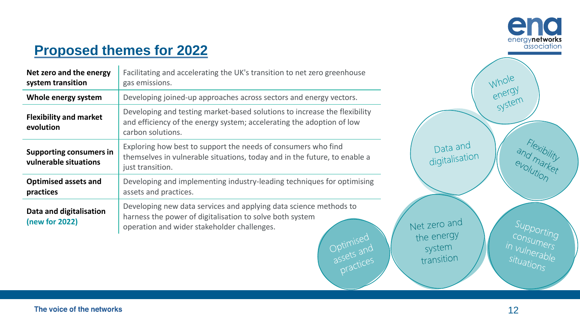

### **Proposed themes for 2022**

| Net zero and the energy<br>system transition                                                                                                                                                                          | Facilitating and accelerating the UK's transition to net zero greenhouse<br>gas emissions.                                                                                                                           |  |
|-----------------------------------------------------------------------------------------------------------------------------------------------------------------------------------------------------------------------|----------------------------------------------------------------------------------------------------------------------------------------------------------------------------------------------------------------------|--|
| Whole energy system                                                                                                                                                                                                   | Developing joined-up approaches across sectors and energy vectors.                                                                                                                                                   |  |
| Developing and testing market-based solutions to increase the flexibility<br><b>Flexibility and market</b><br>and efficiency of the energy system; accelerating the adoption of low<br>evolution<br>carbon solutions. |                                                                                                                                                                                                                      |  |
| <b>Supporting consumers in</b><br>vulnerable situations                                                                                                                                                               | Exploring how best to support the needs of consumers who find<br>themselves in vulnerable situations, today and in the future, to enable a<br>just transition.                                                       |  |
| <b>Optimised assets and</b><br>practices                                                                                                                                                                              | Developing and implementing industry-leading techniques for optimising<br>assets and practices.                                                                                                                      |  |
| Data and digitalisation<br>(new for 2022)                                                                                                                                                                             | Developing new data services and applying data science methods to<br>harness the power of digitalisation to solve both system<br>operation and wider stakeholder challenges.<br>Optimised<br>assets and<br>practices |  |

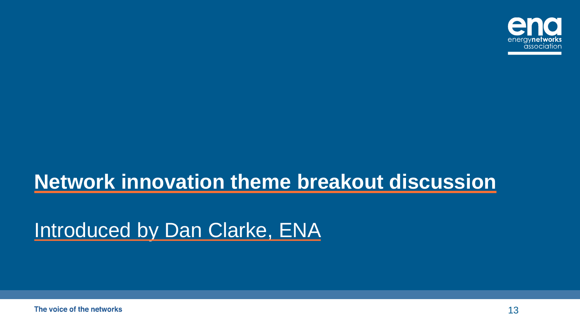

# **Network innovation theme breakout discussion**

# Introduced by Dan Clarke, ENA

The voice of the networks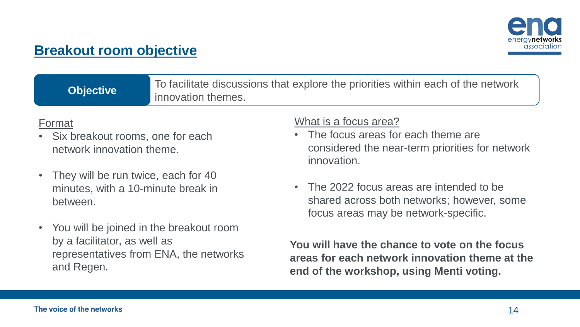

### **Breakout room objective**

**Objective** To facilitate discussions that explore the priorities within each of the network innovation themes.

#### Format

- Six breakout rooms, one for each network innovation theme.
- They will be run twice, each for 40 minutes, with a 10-minute break in between.
- You will be joined in the breakout room by a facilitator, as well as representatives from ENA, the networks and Regen.

#### What is a focus area?

- The focus areas for each theme are considered the near-term priorities for network innovation.
- The 2022 focus areas are intended to be shared across both networks; however, some focus areas may be network-specific.

**You will have the chance to vote on the focus areas for each network innovation theme at the end of the workshop, using Menti voting.**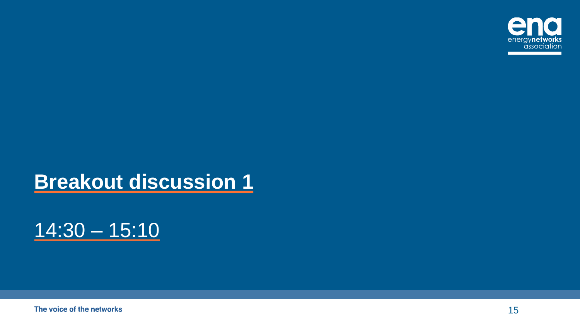

# **Breakout discussion 1**



The voice of the networks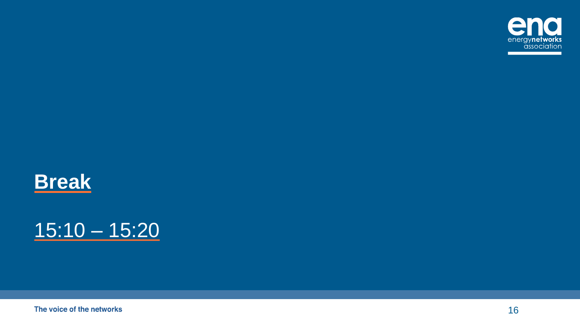





The voice of the networks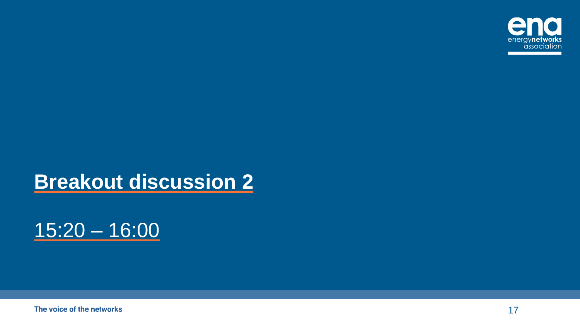

# **Breakout discussion 2**

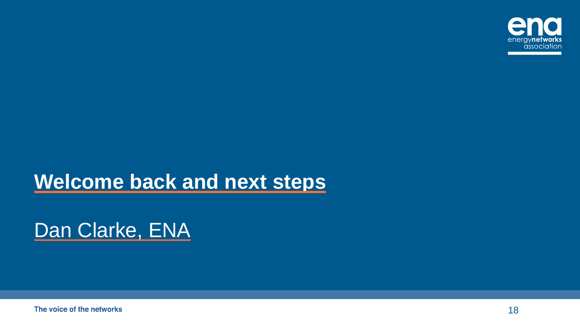

## **Welcome back and next steps**

# Dan Clarke, ENA

The voice of the networks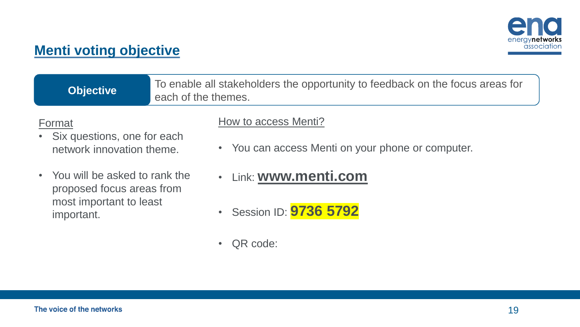

### **Menti voting objective**

| <b>Objective</b>                                                     | To enable all stakeholders the opportunity to feedback on the focus areas for<br>each of the themes. |  |
|----------------------------------------------------------------------|------------------------------------------------------------------------------------------------------|--|
| Format<br>• Six questions, one for each<br>network innovation theme. | How to access Menti?<br>• You can access Menti on your phone or computer.                            |  |

- You will be asked to rank the proposed focus areas from most important to least important.
- Link: **[www.menti.com](http://www.menti.com/)**
- Session ID: **9736 5792**
- QR code: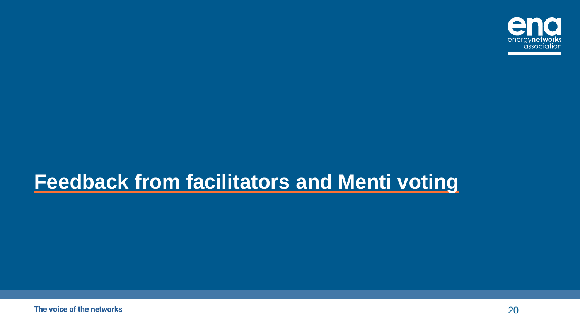

# **Feedback from facilitators and Menti voting**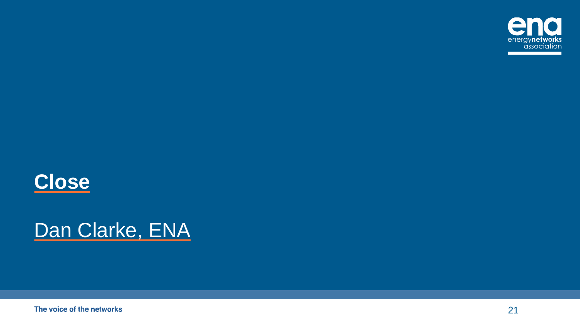



# Dan Clarke, ENA

The voice of the networks

21